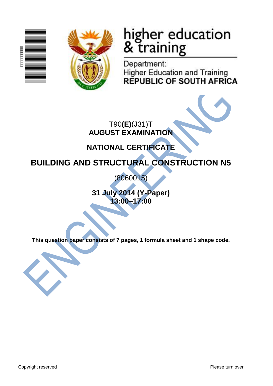



# higher education<br>& training

Department: **Higher Education and Training REPUBLIC OF SOUTH AFRICA** 

T90**(E)**(J31)T **AUGUST EXAMINATION**

# **NATIONAL CERTIFICATE**

# **BUILDING AND STRUCTURAL CONSTRUCTION N5**

(8060015)

**31 July 2014 (Y-Paper) 13:00–17:00**

**This question paper consists of 7 pages, 1 formula sheet and 1 shape code.**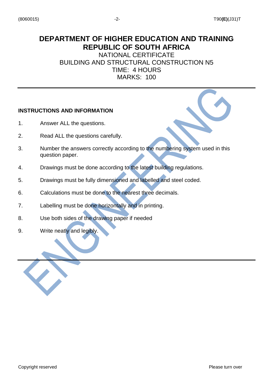# **DEPARTMENT OF HIGHER EDUCATION AND TRAINING REPUBLIC OF SOUTH AFRICA**

NATIONAL CERTIFICATE BUILDING AND STRUCTURAL CONSTRUCTION N5 TIME: 4 HOURS MARKS: 100

# **INSTRUCTIONS AND INFORMATION**

- 1. Answer ALL the questions.
- 2. Read ALL the questions carefully.
- 3. Number the answers correctly according to the numbering system used in this question paper.
- 4. Drawings must be done according to the latest building regulations.
- 5. Drawings must be fully dimensioned and labelled and steel coded.
- 6. Calculations must be done to the nearest three decimals.
- 7. Labelling must be done horizontally and in printing.
- 8. Use both sides of the drawing paper if needed
- 9. Write neatly and legibly.

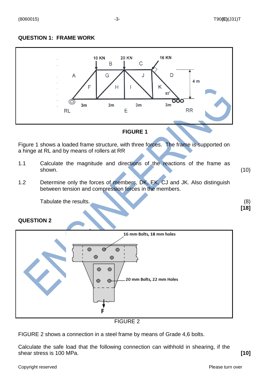# **QUESTION 1: FRAME WORK**



## **FIGURE 1**

Figure 1 shows a loaded frame structure, with three forces. The frame is supported on a hinge at RL and by means of rollers at RR

- 1.1 Calculate the magnitude and directions of the reactions of the frame as shown. (10)
- 1.2 Determine only the forces of members, DK, EK, CJ and JK. Also distinguish between tension and compression forces in the members.

Tabulate the results. (8) (8)

#### **QUESTION 2**



FIGURE 2

FIGURE 2 shows a connection in a steel frame by means of Grade 4,6 bolts.

Calculate the safe load that the following connection can withhold in shearing, if the shear stress is 100 MPa. **[10]**

**[18]**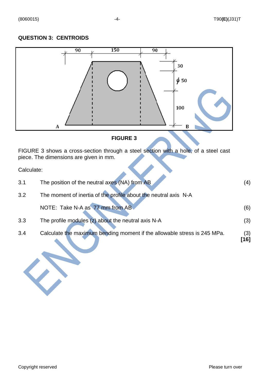# **QUESTION 3: CENTROIDS**



# **FIGURE 3**

FIGURE 3 shows a cross-section through a steel section with a hole, of a steel cast piece. The dimensions are given in mm.

Calculate:

| 3.1 | The position of the neutral axes (NA) from AB                            | (4)         |
|-----|--------------------------------------------------------------------------|-------------|
| 3.2 | The moment of inertia of the profile about the neutral axis N-A          |             |
|     | NOTE: Take N-A as 77 mm from AB                                          | (6)         |
| 3.3 | The profile modules (z) about the neutral axis N-A                       | (3)         |
| 3.4 | Calculate the maximum bending moment if the allowable stress is 245 MPa. | (3)<br>[16] |

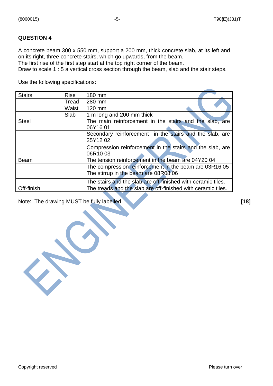## **QUESTION 4**

A concrete beam 300 x 550 mm, support a 200 mm, thick concrete slab, at its left and on its right, three concrete stairs, which go upwards, from the beam. The first rise of the first step start at the top right corner of the beam.

Draw to scale 1 : 5 a vertical cross section through the beam, slab and the stair steps.

Use the following specifications:

| <b>Stairs</b> | <b>Rise</b> | 180 mm                                                               |
|---------------|-------------|----------------------------------------------------------------------|
|               | Tread       | 280 mm                                                               |
|               | Waist       | 120 mm                                                               |
|               | Slab        | 1 m long and 200 mm thick                                            |
| <b>Steel</b>  |             | The main reinforcement in the stairs and the slab, are<br>06Y1601    |
|               |             | Secondary reinforcement in the stairs and the slab, are<br>25Y1202   |
|               |             | Compression reinforcement in the stairs and the slab, are<br>06R1003 |
| <b>Beam</b>   |             | The tension reinforcement in the beam are 04Y20 04                   |
|               |             | The compression reinforcement in the beam are 03R16 05               |
|               |             | The stirrup in the beam are 08R08 06                                 |
|               |             | The stairs and the slab are off-finished with ceramic tiles.         |
| Off-finish    |             | The treads and the slab are off-finished with ceramic tiles.         |

Note: The drawing MUST be fully labelled **[18] [18]**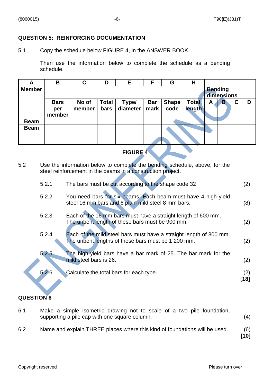### **QUESTION 5: REINFORCING DOCUMENTATION**

5.1 Copy the schedule below FIGURE 4, in the ANSWER BOOK.

Then use the information below to complete the schedule as a bending schedule.

| A             | B                            | C               | D                    | Е                 | F                  | G                    | Н                      |                              |                         |   |   |
|---------------|------------------------------|-----------------|----------------------|-------------------|--------------------|----------------------|------------------------|------------------------------|-------------------------|---|---|
| <b>Member</b> |                              |                 |                      |                   |                    |                      |                        | <b>Bending</b><br>dimensions |                         |   |   |
|               | <b>Bars</b><br>per<br>member | No of<br>member | <b>Total</b><br>bars | Type/<br>diameter | <b>Bar</b><br>mark | <b>Shape</b><br>code | <b>Total</b><br>length | A                            | $\overline{\mathbf{B}}$ | С | D |
| <b>Beam</b>   |                              |                 |                      |                   |                    |                      |                        |                              |                         |   |   |
| <b>Beam</b>   |                              |                 |                      |                   |                    |                      |                        |                              |                         |   |   |
|               |                              |                 |                      |                   |                    |                      |                        |                              |                         |   |   |
|               |                              |                 |                      |                   |                    |                      |                        |                              |                         |   |   |

# **FIGURE 4**

5.2 Use the information below to complete the bending schedule, above, for the steel reinforcement in the beams in a construction project.

| 5.2.1 | The bars must be cut according to the shape code 32                                                                      | (2)         |
|-------|--------------------------------------------------------------------------------------------------------------------------|-------------|
| 5.2.2 | You need bars for six beams. Each beam must have 4 high-yield<br>steel 16 mm bars and 6 plain mild steel 8 mm bars.      | (8)         |
| 5.2.3 | Each of the 16 mm bars must have a straight length of 600 mm.<br>The unbent length of these bars must be 900 mm.         | (2)         |
| 5.2.4 | Each of the mild steel bars must have a straight length of 800 mm.<br>The unbent lengths of these bars must be 1 200 mm. | (2)         |
| 5.2.5 | The high-yield bars have a bar mark of 25. The bar mark for the<br>mild steel bars is 26.                                | (2)         |
| 5.2.6 | Calculate the total bars for each type.                                                                                  | (2)<br>[18] |

# **QUESTION 6**

| 6.1 | Make a simple isometric drawing not to scale of a two pile foundation,<br>supporting a pile cap with one square column. | (4)         |
|-----|-------------------------------------------------------------------------------------------------------------------------|-------------|
| 6.2 | Name and explain THREE places where this kind of foundations will be used.                                              | (6)<br>[10] |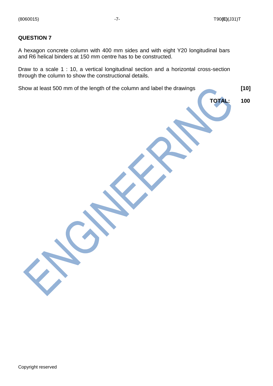### **QUESTION 7**

A hexagon concrete column with 400 mm sides and with eight Y20 longitudinal bars and R6 helical binders at 150 mm centre has to be constructed.

Draw to a scale 1 : 10, a vertical longitudinal section and a horizontal cross-section through the column to show the constructional details.

Show at least 500 mm of the length of the column and label the drawings **[10]**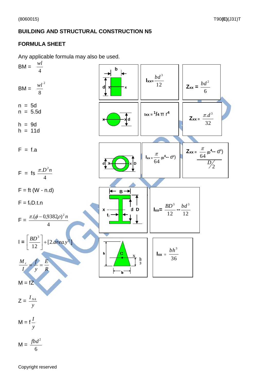# **BUILDING AND STRUCTURAL CONSTRUCTION N5**

# **FORMULA SHEET**

Any applicable formula may also be used.



$$
M = \frac{J \delta u}{6}
$$

Copyright reserved